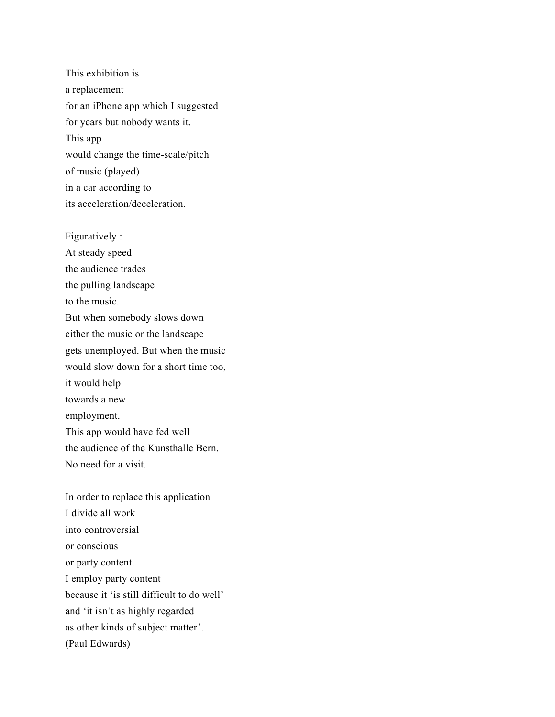This exhibition is a replacement for an iPhone app which I suggested for years but nobody wants it. This app would change the time-scale/pitch of music (played) in a car according to its acceleration/deceleration.

Figuratively : At steady speed the audience trades the pulling landscape to the music. But when somebody slows down either the music or the landscape gets unemployed. But when the music would slow down for a short time too, it would help towards a new employment. This app would have fed well the audience of the Kunsthalle Bern. No need for a visit.

In order to replace this application I divide all work into controversial or conscious or party content. I employ party content because it 'is still difficult to do well' and 'it isn't as highly regarded as other kinds of subject matter'. (Paul Edwards)